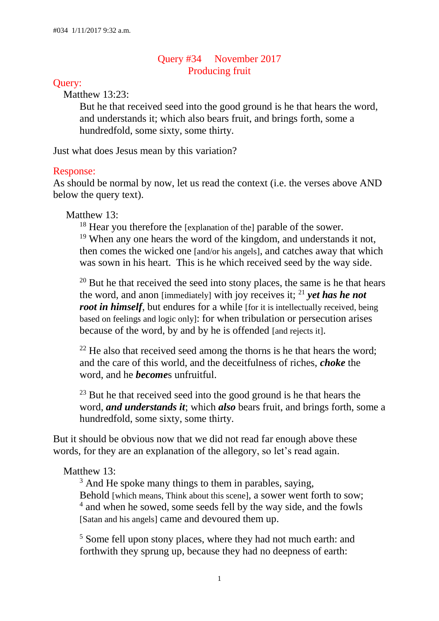## Query #34 November 2017 Producing fruit

#### Query:

Matthew 13:23:

But he that received seed into the good ground is he that hears the word, and understands it; which also bears fruit, and brings forth, some a hundredfold, some sixty, some thirty.

Just what does Jesus mean by this variation?

#### Response:

As should be normal by now, let us read the context (i.e. the verses above AND below the query text).

### Matthew 13:

<sup>18</sup> Hear you therefore the [explanation of the] parable of the sower. <sup>19</sup> When any one hears the word of the kingdom, and understands it not, then comes the wicked one [and/or his angels], and catches away that which was sown in his heart. This is he which received seed by the way side.

 $20$  But he that received the seed into stony places, the same is he that hears the word, and anon [immediately] with joy receives it; <sup>21</sup> *yet has he not root in himself*, but endures for a while [for it is intellectually received, being] based on feelings and logic only]: for when tribulation or persecution arises because of the word, by and by he is offended [and rejects it].

 $22$  He also that received seed among the thorns is he that hears the word: and the care of this world, and the deceitfulness of riches, *choke* the word, and he *become*s unfruitful.

<sup>23</sup> But he that received seed into the good ground is he that hears the word, *and understands it*; which *also* bears fruit, and brings forth, some a hundredfold, some sixty, some thirty.

But it should be obvious now that we did not read far enough above these words, for they are an explanation of the allegory, so let's read again.

### Matthew 13:

 $3$  And He spoke many things to them in parables, saying, Behold [which means, Think about this scene], a sower went forth to sow; <sup>4</sup> and when he sowed, some seeds fell by the way side, and the fowls [Satan and his angels] came and devoured them up. Ī

<sup>5</sup> Some fell upon stony places, where they had not much earth: and forthwith they sprung up, because they had no deepness of earth: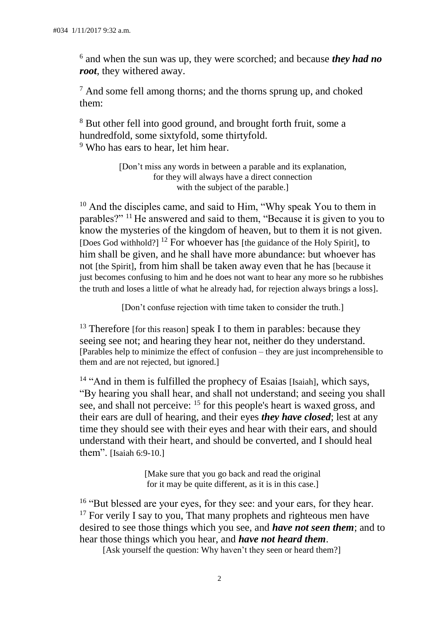6 and when the sun was up, they were scorched; and because *they had no root*, they withered away.

 $<sup>7</sup>$  And some fell among thorns; and the thorns sprung up, and choked</sup> them:

<sup>8</sup> But other fell into good ground, and brought forth fruit, some a hundredfold, some sixtyfold, some thirtyfold. <sup>9</sup> Who has ears to hear, let him hear.

> [Don't miss any words in between a parable and its explanation, for they will always have a direct connection with the subject of the parable.]

<sup>10</sup> And the disciples came, and said to Him, "Why speak You to them in parables?" <sup>11</sup>He answered and said to them, "Because it is given to you to know the mysteries of the kingdom of heaven, but to them it is not given. [Does God withhold?]<sup>12</sup> For whoever has [the guidance of the Holy Spirit], to him shall be given, and he shall have more abundance: but whoever has not [the Spirit], from him shall be taken away even that he has [because it just becomes confusing to him and he does not want to hear any more so he rubbishes the truth and loses a little of what he already had, for rejection always brings a loss].

[Don't confuse rejection with time taken to consider the truth.]

<sup>13</sup> Therefore [for this reason] speak I to them in parables: because they seeing see not; and hearing they hear not, neither do they understand. [Parables help to minimize the effect of confusion – they are just incomprehensible to them and are not rejected, but ignored.]

<sup>14</sup> "And in them is fulfilled the prophecy of Esaias [Isaiah], which says, "By hearing you shall hear, and shall not understand; and seeing you shall see, and shall not perceive: <sup>15</sup> for this people's heart is waxed gross, and their ears are dull of hearing, and their eyes *they have closed*; lest at any time they should see with their eyes and hear with their ears, and should understand with their heart, and should be converted, and I should heal them". [Isaiah 6:9-10.]

> [Make sure that you go back and read the original for it may be quite different, as it is in this case.]

<sup>16</sup> "But blessed are your eyes, for they see: and your ears, for they hear.  $17$  For verily I say to you, That many prophets and righteous men have desired to see those things which you see, and *have not seen them*; and to hear those things which you hear, and *have not heard them*.

[Ask yourself the question: Why haven't they seen or heard them?]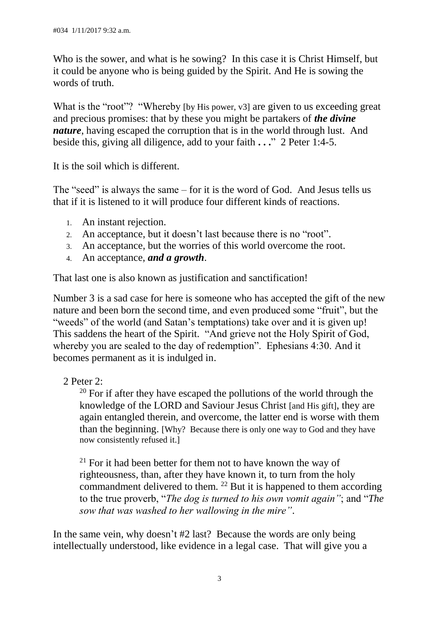Who is the sower, and what is he sowing? In this case it is Christ Himself, but it could be anyone who is being guided by the Spirit. And He is sowing the words of truth.

What is the "root"? "Whereby [by His power, v3] are given to us exceeding great and precious promises: that by these you might be partakers of *the divine nature*, having escaped the corruption that is in the world through lust. And beside this, giving all diligence, add to your faith **. . .**" 2 Peter 1:4-5.

It is the soil which is different.

The "seed" is always the same – for it is the word of God. And Jesus tells us that if it is listened to it will produce four different kinds of reactions.

- 1. An instant rejection.
- 2. An acceptance, but it doesn't last because there is no "root".
- 3. An acceptance, but the worries of this world overcome the root.
- 4. An acceptance, *and a growth*.

That last one is also known as justification and sanctification!

Number 3 is a sad case for here is someone who has accepted the gift of the new nature and been born the second time, and even produced some "fruit", but the "weeds" of the world (and Satan's temptations) take over and it is given up! This saddens the heart of the Spirit. "And grieve not the Holy Spirit of God, whereby you are sealed to the day of redemption". Ephesians 4:30. And it becomes permanent as it is indulged in.

2 Peter 2:

 $20$  For if after they have escaped the pollutions of the world through the knowledge of the LORD and Saviour Jesus Christ [and His gift], they are again entangled therein, and overcome, the latter end is worse with them than the beginning. [Why? Because there is only one way to God and they have now consistently refused it.]

 $21$  For it had been better for them not to have known the way of righteousness, than, after they have known it, to turn from the holy commandment delivered to them. <sup>22</sup> But it is happened to them according to the true proverb, "*The dog is turned to his own vomit again"*; and "*The sow that was washed to her wallowing in the mire"*.

In the same vein, why doesn't #2 last? Because the words are only being intellectually understood, like evidence in a legal case. That will give you a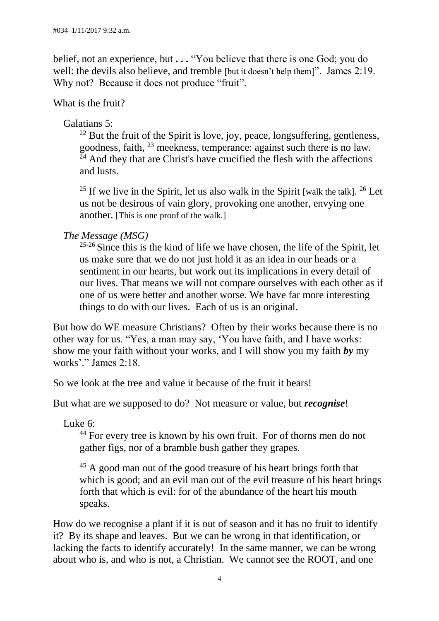belief, not an experience, but **. . .** "You believe that there is one God; you do well: the devils also believe, and tremble [but it doesn't help them]". James 2:19. Why not? Because it does not produce "fruit".

What is the fruit?

# Galatians 5:

 $22$  But the fruit of the Spirit is love, joy, peace, longsuffering, gentleness, goodness, faith, <sup>23</sup> meekness, temperance: against such there is no law.  $24$  And they that are Christ's have crucified the flesh with the affections and lusts.

<sup>25</sup> If we live in the Spirit, let us also walk in the Spirit [walk the talk].  $26$  Let us not be desirous of vain glory, provoking one another, envying one another. [This is one proof of the walk.]

# *The Message (MSG)*

 $25-26$  Since this is the kind of life we have chosen, the life of the Spirit, let us make sure that we do not just hold it as an idea in our heads or a sentiment in our hearts, but work out its implications in every detail of our lives. That means we will not compare ourselves with each other as if one of us were better and another worse. We have far more interesting things to do with our lives. Each of us is an original.

But how do WE measure Christians? Often by their works because there is no other way for us. "Yes, a man may say, 'You have faith, and I have works: show me your faith without your works, and I will show you my faith *by* my works'." James 2:18.

So we look at the tree and value it because of the fruit it bears!

But what are we supposed to do? Not measure or value, but *recognise*!

Luke 6:

<sup>44</sup> For every tree is known by his own fruit. For of thorns men do not gather figs, nor of a bramble bush gather they grapes. Ì

<sup>45</sup> A good man out of the good treasure of his heart brings forth that which is good; and an evil man out of the evil treasure of his heart brings forth that which is evil: for of the abundance of the heart his mouth speaks.

How do we recognise a plant if it is out of season and it has no fruit to identify it? By its shape and leaves. But we can be wrong in that identification, or lacking the facts to identify accurately! In the same manner, we can be wrong about who is, and who is not, a Christian. We cannot see the ROOT, and one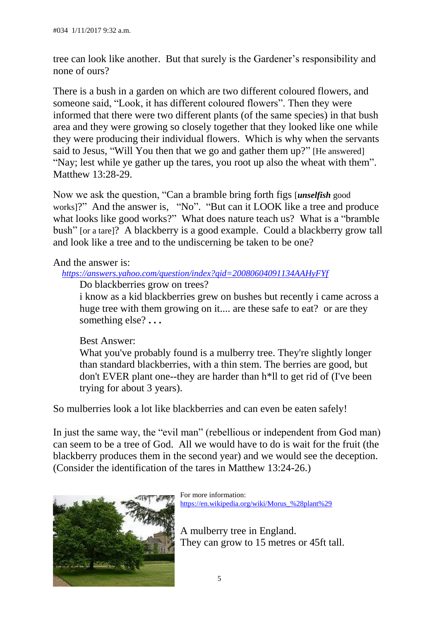tree can look like another. But that surely is the Gardener's responsibility and none of ours?

There is a bush in a garden on which are two different coloured flowers, and someone said, "Look, it has different coloured flowers". Then they were informed that there were two different plants (of the same species) in that bush area and they were growing so closely together that they looked like one while they were producing their individual flowers. Which is why when the servants said to Jesus, "Will You then that we go and gather them up?" [He answered] "Nay; lest while ye gather up the tares, you root up also the wheat with them". Matthew 13:28-29.

Now we ask the question, "Can a bramble bring forth figs [*unselfish* good works]?" And the answer is, "No". "But can it LOOK like a tree and produce what looks like good works?" What does nature teach us? What is a "bramble" bush" [or a tare]? A blackberry is a good example. Could a blackberry grow tall and look like a tree and to the undiscerning be taken to be one?

## And the answer is:

### *<https://answers.yahoo.com/question/index?qid=20080604091134AAHyFYf>*

Do blackberries grow on trees?

i know as a kid blackberries grew on bushes but recently i came across a huge tree with them growing on it.... are these safe to eat? or are they something else? **. . .**

### Best Answer:

What you've probably found is a mulberry tree. They're slightly longer than standard blackberries, with a thin stem. The berries are good, but don't EVER plant one--they are harder than h\*ll to get rid of (I've been trying for about 3 years).

So mulberries look a lot like blackberries and can even be eaten safely!

In just the same way, the "evil man" (rebellious or independent from God man) can seem to be a tree of God. All we would have to do is wait for the fruit (the blackberry produces them in the second year) and we would see the deception. (Consider the identification of the tares in Matthew 13:24-26.)



For more information: [https://en.wikipedia.org/wiki/Morus\\_%28plant%29](https://en.wikipedia.org/wiki/Morus_%28plant%29)

A mulberry tree in England. They can grow to 15 metres or 45ft tall.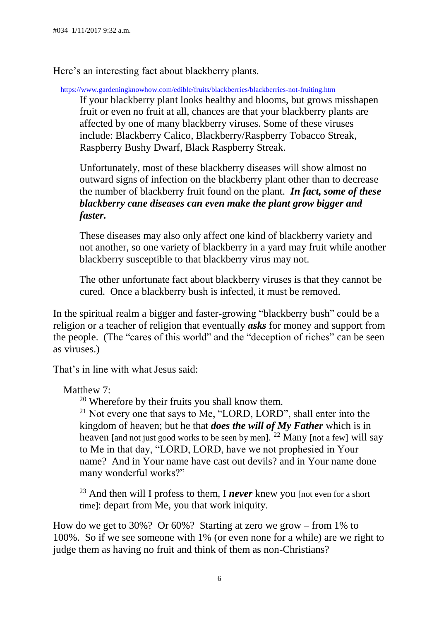Here's an interesting fact about blackberry plants.

<https://www.gardeningknowhow.com/edible/fruits/blackberries/blackberries-not-fruiting.htm>

If your blackberry plant looks healthy and blooms, but grows misshapen fruit or even no fruit at all, chances are that your blackberry plants are affected by one of many blackberry viruses. Some of these viruses include: Blackberry Calico, Blackberry/Raspberry Tobacco Streak, Raspberry Bushy Dwarf, Black Raspberry Streak.

Unfortunately, most of these blackberry diseases will show almost no outward signs of infection on the blackberry plant other than to decrease the number of blackberry fruit found on the plant. *In fact, some of these blackberry cane diseases can even make the plant grow bigger and faster.*

These diseases may also only affect one kind of blackberry variety and not another, so one variety of blackberry in a yard may fruit while another blackberry susceptible to that blackberry virus may not.

The other unfortunate fact about blackberry viruses is that they cannot be cured. Once a blackberry bush is infected, it must be removed.

In the spiritual realm a bigger and faster-growing "blackberry bush" could be a religion or a teacher of religion that eventually *asks* for money and support from the people. (The "cares of this world" and the "deception of riches" can be seen as viruses.)

That's in line with what Jesus said:

Matthew 7:

<sup>20</sup> Wherefore by their fruits you shall know them.

<sup>21</sup> Not every one that says to Me, "LORD, LORD", shall enter into the kingdom of heaven; but he that *does the will of My Father* which is in heaven [and not just good works to be seen by men]. <sup>22</sup> Many [not a few] will say to Me in that day, "LORD, LORD, have we not prophesied in Your name? And in Your name have cast out devils? and in Your name done many wonderful works?"

<sup>23</sup> And then will I profess to them, I *never* knew you [not even for a short] time]: depart from Me, you that work iniquity.

How do we get to 30%? Or 60%? Starting at zero we grow – from 1% to 100%. So if we see someone with 1% (or even none for a while) are we right to judge them as having no fruit and think of them as non-Christians?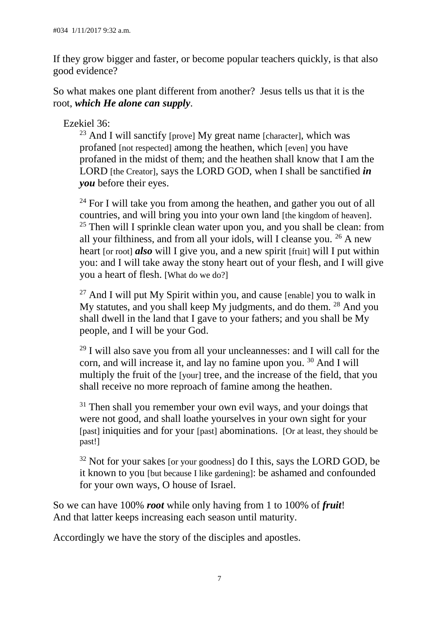If they grow bigger and faster, or become popular teachers quickly, is that also good evidence?

So what makes one plant different from another? Jesus tells us that it is the root, *which He alone can supply*.

Ezekiel 36:

 $23$  And I will sanctify [prove] My great name [character], which was profaned [not respected] among the heathen, which [even] you have profaned in the midst of them; and the heathen shall know that I am the LORD [the Creator], says the LORD GOD, when I shall be sanctified *in you* before their eyes.

 $24$  For I will take you from among the heathen, and gather you out of all countries, and will bring you into your own land [the kingdom of heaven].  $25$  Then will I sprinkle clean water upon you, and you shall be clean: from all your filthiness, and from all your idols, will I cleanse you.  $26$  A new heart [or root] *also* will I give you, and a new spirit [fruit] will I put within you: and I will take away the stony heart out of your flesh, and I will give you a heart of flesh. [What do we do?]  $\ddot{\phantom{0}}$ 

 $27$  And I will put My Spirit within you, and cause [enable] you to walk in My statutes, and you shall keep My judgments, and do them. <sup>28</sup> And you shall dwell in the land that I gave to your fathers; and you shall be My people, and I will be your God.  $\overline{a}$ 

 $29$  I will also save you from all your uncleannesses: and I will call for the corn, and will increase it, and lay no famine upon you. <sup>30</sup> And I will multiply the fruit of the [your] tree, and the increase of the field, that you shall receive no more reproach of famine among the heathen.

 $31$  Then shall you remember your own evil ways, and your doings that were not good, and shall loathe yourselves in your own sight for your [past] iniquities and for your [past] abominations. [Or at least, they should be past!]  $\overline{1}$ 

 $32$  Not for your sakes [or your goodness] do I this, says the LORD GOD, be it known to you [but because I like gardening]: be ashamed and confounded for your own ways, O house of Israel.

So we can have 100% *root* while only having from 1 to 100% of *fruit*! And that latter keeps increasing each season until maturity.

Accordingly we have the story of the disciples and apostles.